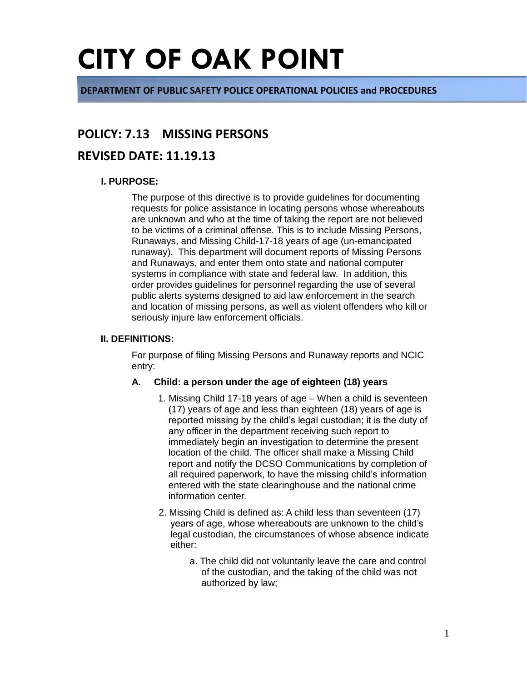**DEPARTMENT OF PUBLIC SAFETY POLICE OPERATIONAL POLICIES and PROCEDURES**

### **POLICY: 7.13 MISSING PERSONS**

### **REVISED DATE: 11.19.13**

### **I. PURPOSE:**

The purpose of this directive is to provide guidelines for documenting requests for police assistance in locating persons whose whereabouts are unknown and who at the time of taking the report are not believed to be victims of a criminal offense. This is to include Missing Persons, Runaways, and Missing Child-17-18 years of age (un-emancipated runaway). This department will document reports of Missing Persons and Runaways, and enter them onto state and national computer systems in compliance with state and federal law. In addition, this order provides guidelines for personnel regarding the use of several public alerts systems designed to aid law enforcement in the search and location of missing persons, as well as violent offenders who kill or seriously injure law enforcement officials.

#### **II. DEFINITIONS:**

For purpose of filing Missing Persons and Runaway reports and NCIC entry:

### **A. Child: a person under the age of eighteen (18) years**

- 1. Missing Child 17-18 years of age When a child is seventeen (17) years of age and less than eighteen (18) years of age is reported missing by the child's legal custodian; it is the duty of any officer in the department receiving such report to immediately begin an investigation to determine the present location of the child. The officer shall make a Missing Child report and notify the DCSO Communications by completion of all required paperwork, to have the missing child's information entered with the state clearinghouse and the national crime information center.
- 2. Missing Child is defined as: A child less than seventeen (17) years of age, whose whereabouts are unknown to the child's legal custodian, the circumstances of whose absence indicate either:
	- a. The child did not voluntarily leave the care and control of the custodian, and the taking of the child was not authorized by law;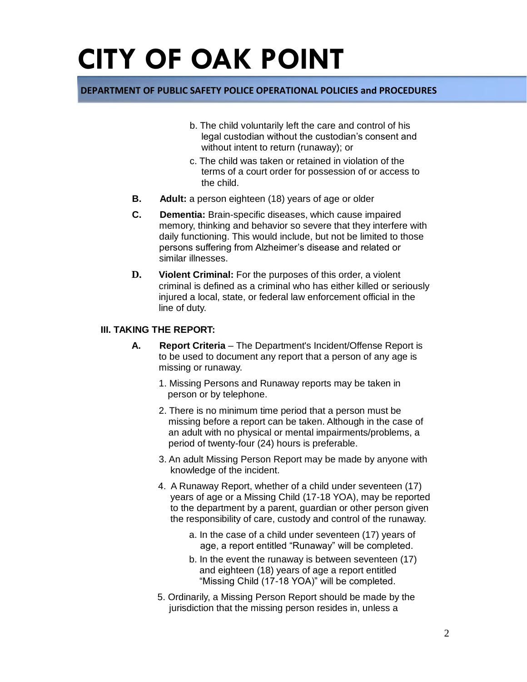### **DEPARTMENT OF PUBLIC SAFETY POLICE OPERATIONAL POLICIES and PROCEDURES**

- b. The child voluntarily left the care and control of his legal custodian without the custodian's consent and without intent to return (runaway); or
- c. The child was taken or retained in violation of the terms of a court order for possession of or access to the child.
- **B. Adult:** a person eighteen (18) years of age or older
- **C. Dementia:** Brain-specific diseases, which cause impaired memory, thinking and behavior so severe that they interfere with daily functioning. This would include, but not be limited to those persons suffering from Alzheimer's disease and related or similar illnesses.
- **D. Violent Criminal:** For the purposes of this order, a violent criminal is defined as a criminal who has either killed or seriously injured a local, state, or federal law enforcement official in the line of duty.

### **III. TAKING THE REPORT:**

- **A. Report Criteria** The Department's Incident/Offense Report is to be used to document any report that a person of any age is missing or runaway.
	- 1. Missing Persons and Runaway reports may be taken in person or by telephone.
	- 2. There is no minimum time period that a person must be missing before a report can be taken. Although in the case of an adult with no physical or mental impairments/problems, a period of twenty-four (24) hours is preferable.
	- 3. An adult Missing Person Report may be made by anyone with knowledge of the incident.
	- 4. A Runaway Report, whether of a child under seventeen (17) years of age or a Missing Child (17-18 YOA), may be reported to the department by a parent, guardian or other person given the responsibility of care, custody and control of the runaway.
		- a. In the case of a child under seventeen (17) years of age, a report entitled "Runaway" will be completed.
		- b. In the event the runaway is between seventeen (17) and eighteen (18) years of age a report entitled "Missing Child (17-18 YOA)" will be completed.
	- 5. Ordinarily, a Missing Person Report should be made by the jurisdiction that the missing person resides in, unless a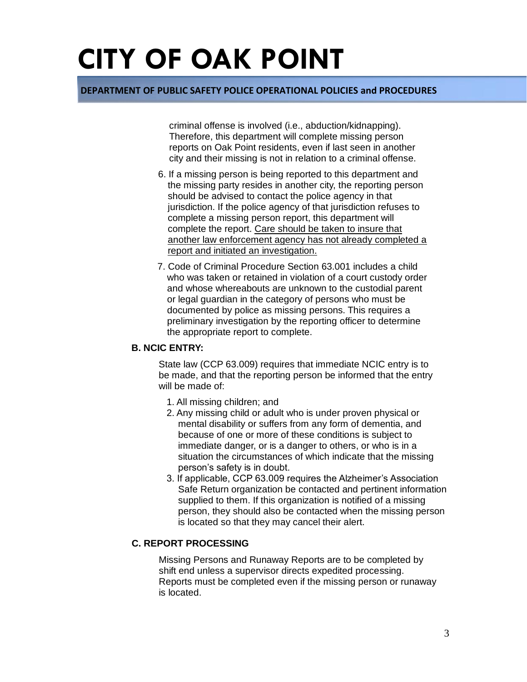### **DEPARTMENT OF PUBLIC SAFETY POLICE OPERATIONAL POLICIES and PROCEDURES**

criminal offense is involved (i.e., abduction/kidnapping). Therefore, this department will complete missing person reports on Oak Point residents, even if last seen in another city and their missing is not in relation to a criminal offense.

- 6. If a missing person is being reported to this department and the missing party resides in another city, the reporting person should be advised to contact the police agency in that jurisdiction. If the police agency of that jurisdiction refuses to complete a missing person report, this department will complete the report. Care should be taken to insure that another law enforcement agency has not already completed a report and initiated an investigation.
- 7. Code of Criminal Procedure Section 63.001 includes a child who was taken or retained in violation of a court custody order and whose whereabouts are unknown to the custodial parent or legal guardian in the category of persons who must be documented by police as missing persons. This requires a preliminary investigation by the reporting officer to determine the appropriate report to complete.

### **B. NCIC ENTRY:**

State law (CCP 63.009) requires that immediate NCIC entry is to be made, and that the reporting person be informed that the entry will be made of:

- 1. All missing children; and
- 2. Any missing child or adult who is under proven physical or mental disability or suffers from any form of dementia, and because of one or more of these conditions is subject to immediate danger, or is a danger to others, or who is in a situation the circumstances of which indicate that the missing person's safety is in doubt.
- 3. If applicable, CCP 63.009 requires the Alzheimer's Association Safe Return organization be contacted and pertinent information supplied to them. If this organization is notified of a missing person, they should also be contacted when the missing person is located so that they may cancel their alert.

### **C. REPORT PROCESSING**

Missing Persons and Runaway Reports are to be completed by shift end unless a supervisor directs expedited processing. Reports must be completed even if the missing person or runaway is located.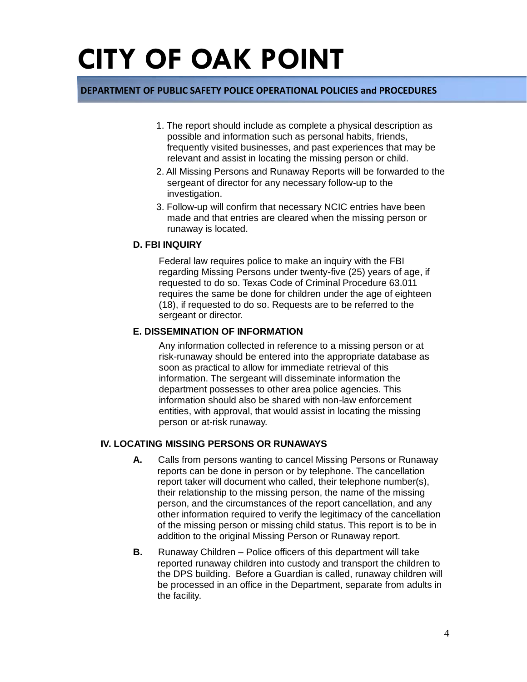### **DEPARTMENT OF PUBLIC SAFETY POLICE OPERATIONAL POLICIES and PROCEDURES**

- 1. The report should include as complete a physical description as possible and information such as personal habits, friends, frequently visited businesses, and past experiences that may be relevant and assist in locating the missing person or child.
- 2. All Missing Persons and Runaway Reports will be forwarded to the sergeant of director for any necessary follow-up to the investigation.
- 3. Follow-up will confirm that necessary NCIC entries have been made and that entries are cleared when the missing person or runaway is located.

#### **D. FBI INQUIRY**

Federal law requires police to make an inquiry with the FBI regarding Missing Persons under twenty-five (25) years of age, if requested to do so. Texas Code of Criminal Procedure 63.011 requires the same be done for children under the age of eighteen (18), if requested to do so. Requests are to be referred to the sergeant or director.

### **E. DISSEMINATION OF INFORMATION**

Any information collected in reference to a missing person or at risk-runaway should be entered into the appropriate database as soon as practical to allow for immediate retrieval of this information. The sergeant will disseminate information the department possesses to other area police agencies. This information should also be shared with non-law enforcement entities, with approval, that would assist in locating the missing person or at-risk runaway.

### **IV. LOCATING MISSING PERSONS OR RUNAWAYS**

- **A.** Calls from persons wanting to cancel Missing Persons or Runaway reports can be done in person or by telephone. The cancellation report taker will document who called, their telephone number(s), their relationship to the missing person, the name of the missing person, and the circumstances of the report cancellation, and any other information required to verify the legitimacy of the cancellation of the missing person or missing child status. This report is to be in addition to the original Missing Person or Runaway report.
- **B.** Runaway Children Police officers of this department will take reported runaway children into custody and transport the children to the DPS building. Before a Guardian is called, runaway children will be processed in an office in the Department, separate from adults in the facility.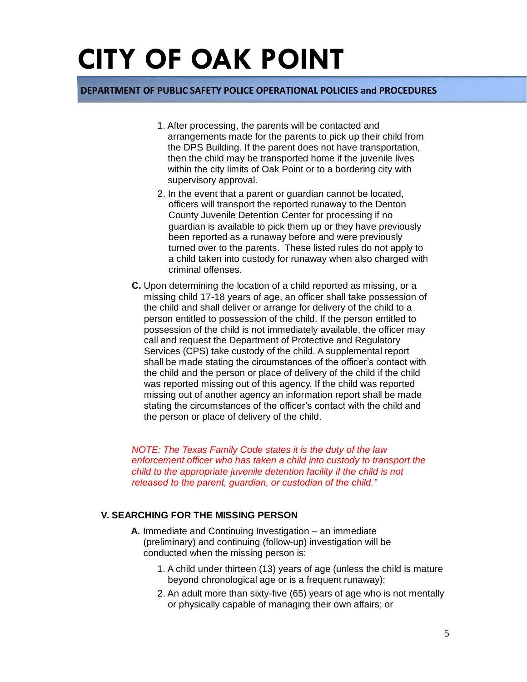### **DEPARTMENT OF PUBLIC SAFETY POLICE OPERATIONAL POLICIES and PROCEDURES**

- 1. After processing, the parents will be contacted and arrangements made for the parents to pick up their child from the DPS Building. If the parent does not have transportation, then the child may be transported home if the juvenile lives within the city limits of Oak Point or to a bordering city with supervisory approval.
- 2. In the event that a parent or guardian cannot be located, officers will transport the reported runaway to the Denton County Juvenile Detention Center for processing if no guardian is available to pick them up or they have previously been reported as a runaway before and were previously turned over to the parents. These listed rules do not apply to a child taken into custody for runaway when also charged with criminal offenses.
- **C.** Upon determining the location of a child reported as missing, or a missing child 17-18 years of age, an officer shall take possession of the child and shall deliver or arrange for delivery of the child to a person entitled to possession of the child. If the person entitled to possession of the child is not immediately available, the officer may call and request the Department of Protective and Regulatory Services (CPS) take custody of the child. A supplemental report shall be made stating the circumstances of the officer's contact with the child and the person or place of delivery of the child if the child was reported missing out of this agency. If the child was reported missing out of another agency an information report shall be made stating the circumstances of the officer's contact with the child and the person or place of delivery of the child.

*NOTE: The Texas Family Code states it is the duty of the law enforcement officer who has taken a child into custody to transport the child to the appropriate juvenile detention facility if the child is not released to the parent, guardian, or custodian of the child."*

### **V. SEARCHING FOR THE MISSING PERSON**

- **A.** Immediate and Continuing Investigation an immediate (preliminary) and continuing (follow-up) investigation will be conducted when the missing person is:
	- 1. A child under thirteen (13) years of age (unless the child is mature beyond chronological age or is a frequent runaway);
	- 2. An adult more than sixty-five (65) years of age who is not mentally or physically capable of managing their own affairs; or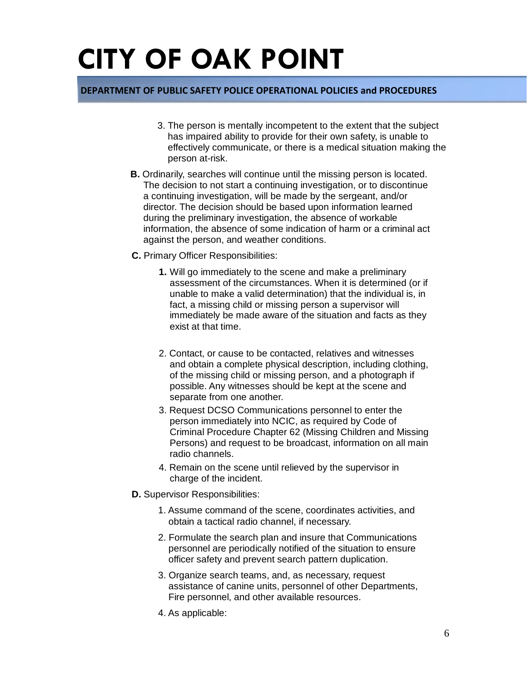### **DEPARTMENT OF PUBLIC SAFETY POLICE OPERATIONAL POLICIES and PROCEDURES**

- 3. The person is mentally incompetent to the extent that the subject has impaired ability to provide for their own safety, is unable to effectively communicate, or there is a medical situation making the person at-risk.
- **B.** Ordinarily, searches will continue until the missing person is located. The decision to not start a continuing investigation, or to discontinue a continuing investigation, will be made by the sergeant, and/or director. The decision should be based upon information learned during the preliminary investigation, the absence of workable information, the absence of some indication of harm or a criminal act against the person, and weather conditions.
- **C.** Primary Officer Responsibilities:
	- **1.** Will go immediately to the scene and make a preliminary assessment of the circumstances. When it is determined (or if unable to make a valid determination) that the individual is, in fact, a missing child or missing person a supervisor will immediately be made aware of the situation and facts as they exist at that time.
	- 2. Contact, or cause to be contacted, relatives and witnesses and obtain a complete physical description, including clothing, of the missing child or missing person, and a photograph if possible. Any witnesses should be kept at the scene and separate from one another.
	- 3. Request DCSO Communications personnel to enter the person immediately into NCIC, as required by Code of Criminal Procedure Chapter 62 (Missing Children and Missing Persons) and request to be broadcast, information on all main radio channels.
	- 4. Remain on the scene until relieved by the supervisor in charge of the incident.
- **D.** Supervisor Responsibilities:
	- 1. Assume command of the scene, coordinates activities, and obtain a tactical radio channel, if necessary.
	- 2. Formulate the search plan and insure that Communications personnel are periodically notified of the situation to ensure officer safety and prevent search pattern duplication.
	- 3. Organize search teams, and, as necessary, request assistance of canine units, personnel of other Departments, Fire personnel, and other available resources.
	- 4. As applicable: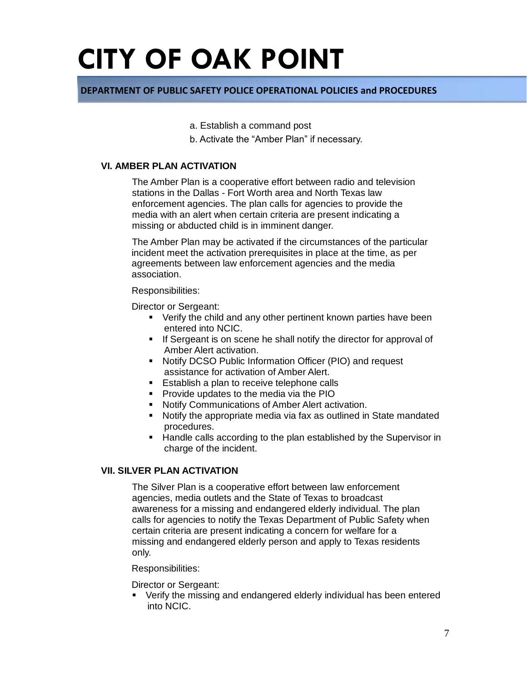### **DEPARTMENT OF PUBLIC SAFETY POLICE OPERATIONAL POLICIES and PROCEDURES**

- a. Establish a command post
- b. Activate the "Amber Plan" if necessary.

### **VI. AMBER PLAN ACTIVATION**

The Amber Plan is a cooperative effort between radio and television stations in the Dallas - Fort Worth area and North Texas law enforcement agencies. The plan calls for agencies to provide the media with an alert when certain criteria are present indicating a missing or abducted child is in imminent danger.

The Amber Plan may be activated if the circumstances of the particular incident meet the activation prerequisites in place at the time, as per agreements between law enforcement agencies and the media association.

#### Responsibilities:

Director or Sergeant:

- Verify the child and any other pertinent known parties have been entered into NCIC.
- If Sergeant is on scene he shall notify the director for approval of Amber Alert activation.
- Notify DCSO Public Information Officer (PIO) and request assistance for activation of Amber Alert.
- **Establish a plan to receive telephone calls**
- **Provide updates to the media via the PIO**
- **Notify Communications of Amber Alert activation.**
- Notify the appropriate media via fax as outlined in State mandated procedures.
- **Handle calls according to the plan established by the Supervisor in** charge of the incident.

### **VII. SILVER PLAN ACTIVATION**

The Silver Plan is a cooperative effort between law enforcement agencies, media outlets and the State of Texas to broadcast awareness for a missing and endangered elderly individual. The plan calls for agencies to notify the Texas Department of Public Safety when certain criteria are present indicating a concern for welfare for a missing and endangered elderly person and apply to Texas residents only.

#### Responsibilities:

#### Director or Sergeant:

Verify the missing and endangered elderly individual has been entered into NCIC.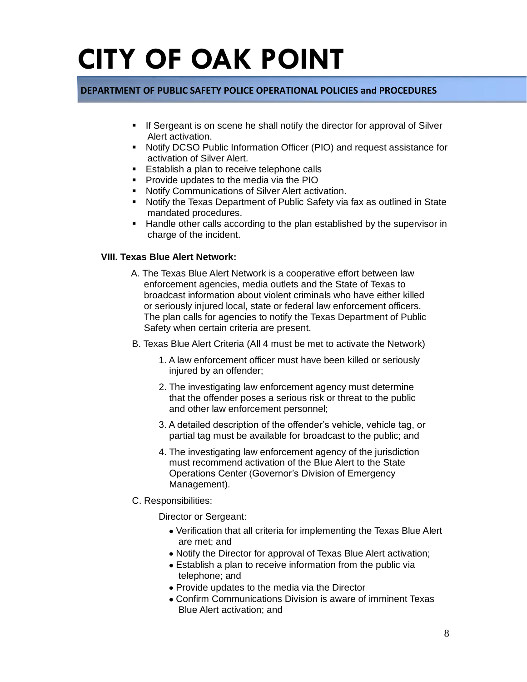### **DEPARTMENT OF PUBLIC SAFETY POLICE OPERATIONAL POLICIES and PROCEDURES**

- If Sergeant is on scene he shall notify the director for approval of Silver Alert activation.
- Notify DCSO Public Information Officer (PIO) and request assistance for activation of Silver Alert.
- **Establish a plan to receive telephone calls**
- **Provide updates to the media via the PIO**
- **Notify Communications of Silver Alert activation.**
- Notify the Texas Department of Public Safety via fax as outlined in State mandated procedures.
- **Handle other calls according to the plan established by the supervisor in** charge of the incident.

### **VIII. Texas Blue Alert Network:**

- A. The Texas Blue Alert Network is a cooperative effort between law enforcement agencies, media outlets and the State of Texas to broadcast information about violent criminals who have either killed or seriously injured local, state or federal law enforcement officers. The plan calls for agencies to notify the Texas Department of Public Safety when certain criteria are present.
- B. Texas Blue Alert Criteria (All 4 must be met to activate the Network)
	- 1. A law enforcement officer must have been killed or seriously injured by an offender;
	- 2. The investigating law enforcement agency must determine that the offender poses a serious risk or threat to the public and other law enforcement personnel;
	- 3. A detailed description of the offender's vehicle, vehicle tag, or partial tag must be available for broadcast to the public; and
	- 4. The investigating law enforcement agency of the jurisdiction must recommend activation of the Blue Alert to the State Operations Center (Governor's Division of Emergency Management).
- C. Responsibilities:

Director or Sergeant:

- Verification that all criteria for implementing the Texas Blue Alert are met; and
- Notify the Director for approval of Texas Blue Alert activation;
- Establish a plan to receive information from the public via telephone; and
- Provide updates to the media via the Director
- Confirm Communications Division is aware of imminent Texas Blue Alert activation; and